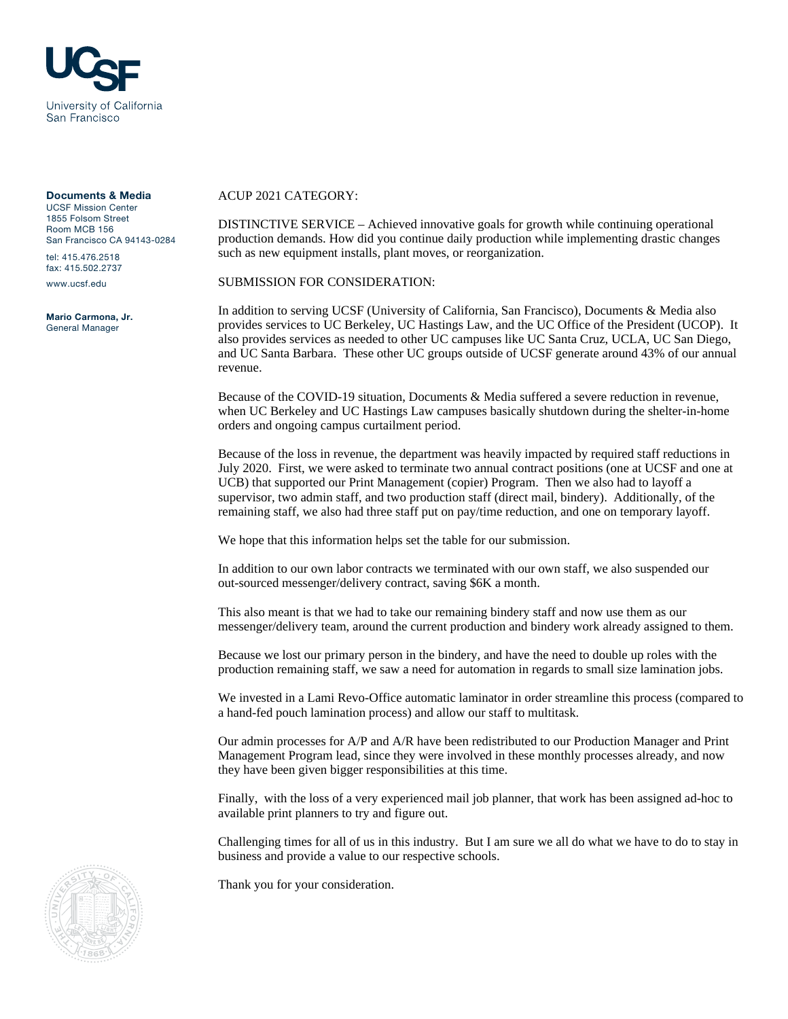

## Documents & Media

UCSF Mission Center 1855 Folsom Street Room MCB 156 San Francisco CA 94143-0284

tel: 415.476.2518 fax: 415.502.2737

www.ucsf.edu

Mario Carmona, Jr. General Manager

## ACUP 2021 CATEGORY:

DISTINCTIVE SERVICE – Achieved innovative goals for growth while continuing operational production demands. How did you continue daily production while implementing drastic changes such as new equipment installs, plant moves, or reorganization.

SUBMISSION FOR CONSIDERATION:

In addition to serving UCSF (University of California, San Francisco), Documents & Media also provides services to UC Berkeley, UC Hastings Law, and the UC Office of the President (UCOP). It also provides services as needed to other UC campuses like UC Santa Cruz, UCLA, UC San Diego, and UC Santa Barbara. These other UC groups outside of UCSF generate around 43% of our annual revenue.

Because of the COVID-19 situation, Documents & Media suffered a severe reduction in revenue, when UC Berkeley and UC Hastings Law campuses basically shutdown during the shelter-in-home orders and ongoing campus curtailment period.

Because of the loss in revenue, the department was heavily impacted by required staff reductions in July 2020. First, we were asked to terminate two annual contract positions (one at UCSF and one at UCB) that supported our Print Management (copier) Program. Then we also had to layoff a supervisor, two admin staff, and two production staff (direct mail, bindery). Additionally, of the remaining staff, we also had three staff put on pay/time reduction, and one on temporary layoff.

We hope that this information helps set the table for our submission.

In addition to our own labor contracts we terminated with our own staff, we also suspended our out-sourced messenger/delivery contract, saving \$6K a month.

This also meant is that we had to take our remaining bindery staff and now use them as our messenger/delivery team, around the current production and bindery work already assigned to them.

Because we lost our primary person in the bindery, and have the need to double up roles with the production remaining staff, we saw a need for automation in regards to small size lamination jobs.

We invested in a Lami Revo-Office automatic laminator in order streamline this process (compared to a hand-fed pouch lamination process) and allow our staff to multitask.

Our admin processes for A/P and A/R have been redistributed to our Production Manager and Print Management Program lead, since they were involved in these monthly processes already, and now they have been given bigger responsibilities at this time.

Finally, with the loss of a very experienced mail job planner, that work has been assigned ad-hoc to available print planners to try and figure out.

Challenging times for all of us in this industry. But I am sure we all do what we have to do to stay in business and provide a value to our respective schools.

Thank you for your consideration.

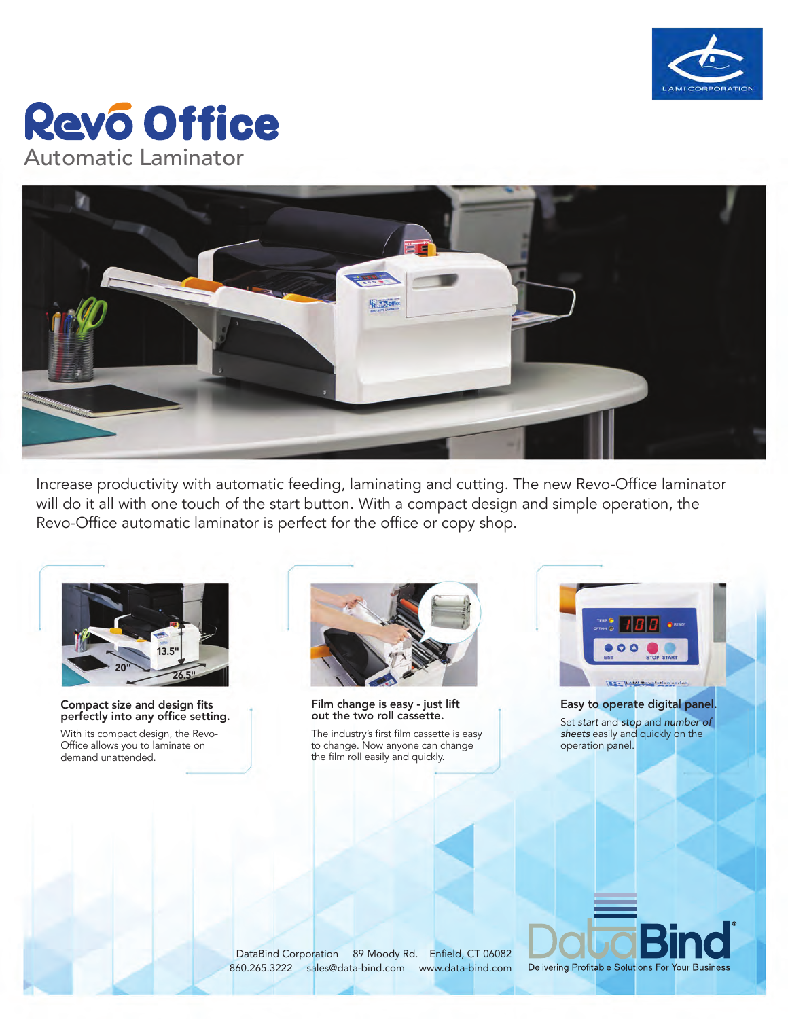

## **Revo Office** Automatic Laminator



Increase productivity with automatic feeding, laminating and cutting. The new Revo-Office laminator will do it all with one touch of the start button. With a compact design and simple operation, the Revo-Office automatic laminator is perfect for the office or copy shop.



Compact size and design fits perfectly into any office setting.

With its compact design, the Revo-Office allows you to laminate on demand unattended.



Film change is easy - just lift out the two roll cassette.

The industry's first film cassette is easy to change. Now anyone can change the film roll easily and quickly.



Easy to operate digital panel. Set *start* and *stop* and *number of sheets* easily and quickly on the operation panel.

DataBind Corporation 89 Moody Rd. Enfield, CT 06082 860.265.3222 sales@data-bind.com www.data-bind.com

Delivering Profitable Solutions For Your Business